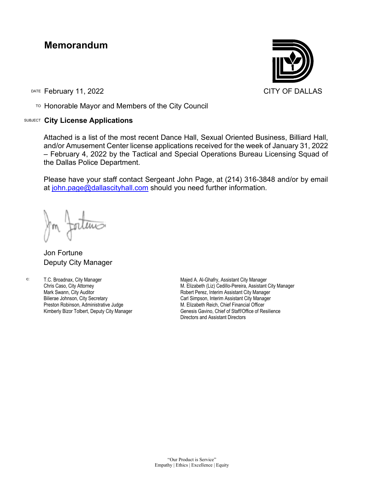## **Memorandum**

DATE February 11, 2022 **CITY OF DALLAS** 

TO Honorable Mayor and Members of the City Council

## SUBJECT **City License Applications**



Attached is a list of the most recent Dance Hall, Sexual Oriented Business, Billiard Hall, and/or Amusement Center license applications received for the week of January 31, 2022 – February 4, 2022 by the Tactical and Special Operations Bureau Licensing Squad of the Dallas Police Department.

Please have your staff contact Sergeant John Page, at (214) 316-3848 and/or by email at [john.page@dallascityhall.com](mailto:john.page@dallascityhall.com) should you need further information.

Jon Fortune Deputy City Manager

c: T.C. Broadnax, City Manager Chris Caso, City Attorney Mark Swann, City Auditor Bilierae Johnson, City Secretary Preston Robinson, Administrative Judge Kimberly Bizor Tolbert, Deputy City Manager

Majed A. Al-Ghafry, Assistant City Manager M. Elizabeth (Liz) Cedillo-Pereira, Assistant City Manager Robert Perez, Interim Assistant City Manager Carl Simpson, Interim Assistant City Manager M. Elizabeth Reich, Chief Financial Officer Genesis Gavino, Chief of Staff/Office of Resilience Directors and Assistant Directors